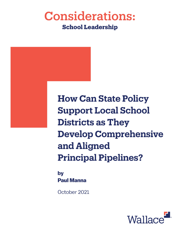## **Considerations: School Leadership**

**How Can State Policy Support Local School Districts as They Develop Comprehensive** and Aligned **Principal Pipelines?** 

by **Paul Manna** 

October 2021

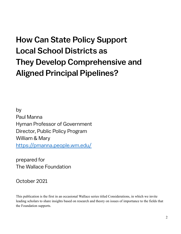# How Can State Policy Support Local School Districts as They Develop Comprehensive and Aligned Principal Pipelines?

by Paul Manna Hyman Professor of Government Director, Public Policy Program William & Mary https://pmanna.people.wm.edu/

prepared for The Wallace Foundation

October 2021

This publication is the first in an occasional Wallace series titled Considerations, in which we invite leading scholars to share insights based on research and theory on issues of importance to the fields that the Foundation supports.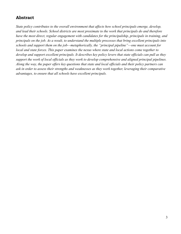## **Abstract**

*State policy contributes to the overall environment that affects how school principals emerge, develop, and lead their schools. School districts are most proximate to the work that principals do and therefore have the most direct, regular engagement with candidates for the principalship, principals in training, and principals on the job. As a result, to understand the multiple processes that bring excellent principals into schools and support them on the job—metaphorically, the "principal pipeline"—one must account for local and state forces. This paper examines the nexus where state and local actions come together to develop and support excellent principals. It describes key policy levers that state officials can pull as they support the work of local officials as they work to develop comprehensive and aligned principal pipelines. Along the way, the paper offers key questions that state and local officials and their policy partners can ask in order to assess their strengths and weaknesses as they work together, leveraging their comparative advantages, to ensure that all schools have excellent principals.*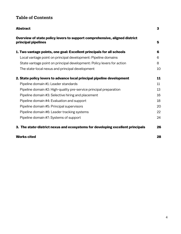## **Table of Contents**

| <b>Abstract</b>                                                                                   | 3  |
|---------------------------------------------------------------------------------------------------|----|
| Overview of state policy levers to support comprehensive, aligned district<br>principal pipelines | 5  |
| 1. Two vantage points, one goal: Excellent principals for all schools                             | 6  |
| Local vantage point on principal development: Pipeline domains                                    | 6  |
| State vantage point on principal development: Policy levers for action                            | 8  |
| The state-local nexus and principal development                                                   | 10 |
| 2. State policy levers to advance local principal pipeline development                            | 11 |
| Pipeline domain #1: Leader standards                                                              | 11 |
| Pipeline domain #2: High-quality pre-service principal preparation                                | 13 |
| Pipeline domain #3: Selective hiring and placement                                                | 16 |
| Pipeline domain #4: Evaluation and support                                                        | 18 |
| Pipeline domain #5: Principal supervisors                                                         | 20 |
| Pipeline domain #6: Leader tracking systems                                                       | 22 |
| Pipeline domain #7: Systems of support                                                            | 24 |
| 3. The state-district nexus and ecosystems for developing excellent principals                    | 26 |
| <b>Works cited</b>                                                                                | 28 |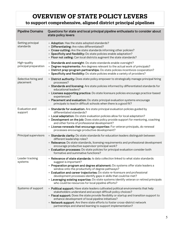## **OVERVIEW OF STATE POLICY LEVERS**

**to support comprehensive, aligned district principal pipelines**

| <b>Pipeline Domains</b>               | Questions for state and local principal pipeline enthusiasts to consider about<br>state policy levers                                                                                                                                                                                                                                                                                                                                                                                                                                                 |
|---------------------------------------|-------------------------------------------------------------------------------------------------------------------------------------------------------------------------------------------------------------------------------------------------------------------------------------------------------------------------------------------------------------------------------------------------------------------------------------------------------------------------------------------------------------------------------------------------------|
| Setting principal<br>standards        | • Adoption: Has the state adopted standards?<br>• Differentiating: Are roles differentiated?<br>• Cross-cutting: Are the state standards informing other policies?<br>• Specificity and flexibility: Do state policies enable adaptation?<br>• Floor not ceiling: Can local districts augment the state standards?                                                                                                                                                                                                                                    |
| High-quality<br>principal preparation | • Standards and oversight: Do state standards enable oversight?<br>• Degree requirements: Are degrees relevant to the actual work of principals?<br>· District prep-program partnerships: Do state policies incentivize cooperation?<br>• Specificity and flexibility: Do state policies enable a variety of providers?                                                                                                                                                                                                                               |
| Selective hiring and<br>placement     | • District authority: Does state policy empower to strategically manage principal hiring<br>processes?<br>• Standards and licensing: Are state policies informed by differentiated standards for<br>educational leaders?<br>• Licenses supporting practice: Do state licensure policies encourage practice-based<br>experiences?<br>• Placement and evaluation: Do state principal evaluation systems encourage<br>principals to lead in difficult schools when there is a good fit?                                                                  |
| Evaluation and<br>support             | • Standards for evaluation: Are state principal evaluation policies guided by<br>differentiated standards?<br>• Local adaptation: Do state evaluation policies allow for local adaptation?<br>• Development on the job: Does state policy provide support for mentoring, coaching<br>and other forms of professional development?<br>• License renewals that encourage expertise: For veteran principals, do renewal<br>processes encourage productive development?                                                                                   |
| Principal supervisors                 | • Standards clarity: Do state standards for education leaders distinguish between<br>different leadership roles?<br>• Relevance: Do state standards, licensing requirements and professional development<br>encourage productive supervisor-principal work?<br>• Evaluation processes: Do state policies for principal evaluation consider both<br>formative and summative functions?                                                                                                                                                                 |
| Leader tracking<br>systems            | • Relevance of state standards: Is data collection linked to what state standards<br>suggest is important?<br>• Preparation program and degree attainment: Do systems offer state leaders a<br>window onto the productivity of degree pathways?<br>• Evaluation and career trajectories: Do state re-licensure and professional<br>development processes identify gaps in skills that could be met?<br>• Leveraging existing expertise: Do state systems identify veteran or retired principals<br>who could be resources for local pipeline efforts? |
| Systems of support                    | . Political support: Have state leaders cultivated political environments that help<br>stakeholders understand and accept difficult policy choices?<br>• Fiscal support: Does the state provide flexibility or startup and transition support to<br>enhance development of local pipeline initiatives?<br>• Network support: Are there state efforts to foster cross-district network<br>partnerships and shared learning to support implementation?                                                                                                  |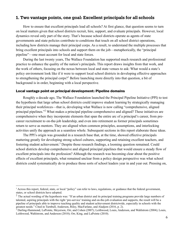#### **1. Two vantage points, one goal: Excellent principals for all schools**

How to ensure that excellent principals lead all schools? At first glance, that question seems to turn on local matters given that school districts recruit, hire, support, and evaluate principals. However, local dynamics reveal only part of the story. That's because school districts operate as agents of state governments and state policies contribute to conditions that touch on all school district operations, including how districts manage their principal corps. As a result, to understand the multiple processes that bring excellent principals into schools and support them on the job—metaphorically, the "principal pipeline"—one must account for local and state forces.

During the last twenty years, The Wallace Foundation has supported much research and professional practice to enhance the quality of the nation's principals. This report draws insights from that work, and the work of others, focusing on the nexus between local and state venues to ask: What would a state's policy environment look like if it were to support local school districts in developing effective approaches to strengthening the principal corps?<sup>1</sup> Before launching more directly into that question, a bit of background is in order, beginning with a local perspective.

#### **Local vantage point on principal development: Pipeline domains**

Roughly a decade ago, The Wallace Foundation launched the Principal Pipeline Initiative (PPI) to test the hypothesis that large urban school districts could improve student learning by strategically managing their principal workforces—that is, developing what Wallace is now calling "comprehensive, aligned principal pipelines."<sup>2</sup> What makes a principal pipeline comprehensive and aligned? These initiatives are comprehensive when they incorporate elements that span the entire arc of a principal's career, from precareer recruitment to on-the-job leadership, and even into retirement as former principals sometimes return to serve as mentors. They are aligned when common principles, assumptions, and interlocking activities unify the approach as a seamless whole. Subsequent sections in this report elaborate these ideas.

The PPI's origin was grounded in a research base that, at the time, showed effective principals mattering greatly for developing strong school cultures, supporting and retaining excellent teachers, and fostering student achievement.<sup>3</sup> Despite those research findings, a looming question remained. Could school districts develop comprehensive and aligned principal pipelines that would ensure a steady flow of excellent principals into the profession? Although the research was becoming clear about the positive effects of excellent principals, what remained unclear from a policy design perspective was what school districts could systematically do to produce those sorts of school leaders year in and year out. Pressing on,

<sup>&</sup>lt;sup>1</sup> Across this report, federal, state, or local "policy" can refer to laws, regulations, or guidance that the federal government, states, or school districts have adopted.

 $2$  The actual wording of the hypothesis was: "If an urban district and its principal training programs provide large numbers of talented, aspiring principals with the right 'pre-service' training and on-the-job evaluation and supports, the result will be a pipeline of principals able to improve teaching quality and student achievement districtwide, especially in schools with the greatest needs." Cited in Turnbull, Anderson, Riley, MacFarlane, and Aladjem (2016, p. 2).

<sup>3</sup> Darling-Hammond, LaPointe, Meyerson, Orr, and Cohen (2007); Leithwood, Louis, Anderson, and Wahlstrom (2004); Louis, Leithwood, Wahlstrom, and Anderson (2010); Orr, King, and LaPointe (2010).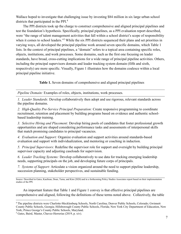Wallace hoped to investigate that challenging issue by investing \$84 million in six large urban school districts that participated in the PPI. 4

The PPI districts took up the charge to construct comprehensive and aligned principal pipelines and test the foundation's hypothesis. Specifically, principal pipelines, as a PPI evaluation report described, were "the range of talent management activities that fall within a school district's scope of responsibility when it comes to school leaders."<sup>5</sup> While the six PPI districts sequenced their plans and set priorities in varying ways, all developed the principal pipeline work around seven specific domains, which Table 1 lists. In the context of principal pipelines, a "domain" refers to a topical area containing specific roles, objects, institutions, and work processes. Some domains, such as the first one focusing on leader standards, have broad, cross-cutting implications for a wide range of principal pipeline activities. Others, including the principal supervisors domain and leader tracking system domain (fifth and sixth, respectively) are more specific. Visually, Figure 1 illustrates how the domains coalesce within a local principal pipeline initiative.

**Table 1.** Seven domains of comprehensive and aligned principal pipelines

*Pipeline Domain:* Examples of roles, objects, institutions, work processes.

*1. Leader Standards:* Develop collaboratively then adopt and use rigorous, relevant standards across the pipeline domains.

*2. High-Quality Pre-Service Principal Preparation:* Create responsive programming to coordinate recruitment, retention and placement by building programs based on evidence and authentic schoolbased leadership training.

*3. Selective Hiring and Placement:* Develop hiring pools of candidates that foster professional growth opportunities and are shaped considering performance tasks and assessments of interpersonal skills that match promising candidates to principal vacancies.

*4. Evaluation and Support:* Organize evaluation and support activities around standards-based evaluation and support with individualization, and mentoring or coaching in induction.

*5. Principal Supervisors:* Redefine the supervisor role for support and oversight by building principal supervisor capacity and adjusting caseloads for supervision.

*6. Leader Tracking Systems:* Develop collaboratively to use data for tracking emerging leadership needs, supporting principals on the job, and developing future corps of principals.

*7. Systems of Support:* Articulate a vision organized around the need to support pipeline leadership, succession planning, stakeholder perspectives, and sustainable funding.

Source: Described in Gates, Kaufman, Doan, Tuma, and Kim (2020) and in a forthcoming Policy Studies Associates report based on their implementation studies of the PPI.

An important feature that Table 1 and Figure 1 convey is that effective principal pipelines are comprehensive and aligned, following the definitions of these terms noted above. Collectively, the table

<sup>4</sup> The pipeline districts were Charlotte-Mecklenburg Schools, North Carolina; Denver Public Schools, Colorado; Gwinnett County Public Schools, Georgia; Hillsborough County Public Schools, Florida; New York City Department of Education, New York; Prince George's County Public Schools, Maryland.

<sup>5</sup> Gates, Baird, Master, Chavez-Herrerias (2019, p. xiv).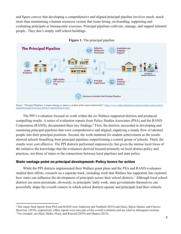and figure convey that developing a comprehensive and aligned principal pipeline involves much, much more than maintaining a human resources system that treats hiring, on-boarding, supporting and evaluating principals as bureaucratic exercises. Principal pipelines cultivate, manage, and support talented people. They don't simply staff school buildings.





The PPI's evaluation focused on work within the six Wallace-supported districts and produced compelling results. A series of evaluation reports from Policy Studies Associates (PSA) and the RAND Corporation (RAND), documented three key findings. <sup>6</sup> First, the districts succeeded in developing and sustaining principal pipelines that were comprehensive and aligned, supplying a steady flow of talented people into their principal positions. Second, the work mattered for student achievement as the results showed schools benefiting from principal pipelines outperforming a control group of schools. Third, the results were cost effective. The PPI districts performed impressively, but given the intense local focus of the initiative the knowledge that the evaluators derived focused primarily on local district policy and practices, not those of states or the connections between local pipelines and state policy.

#### **State vantage point on principal development: Policy levers for action**

While the PPI districts implemented their Wallace grant plans and the PSA and RAND evaluators studied their efforts, research on a separate track, including work that Wallace has supported, has explored how states can influence the development of principals across their school districts.<sup>7</sup> Although local school districts are more proximate, obviously, to principals' daily work, state governments themselves can powerfully shape the overall context in which school districts operate and principals lead their schools.

Herrerias. (2019), respectively. Other reports were also part of the overall evaluation and are cited in subsequent sections. <sup>7</sup> For example, see Hunt, Haller, Hood, and Kincaid (2019) and Manna (2015).

Source: "Principal Pipelines: A major strategy to improve student achievement districtwide," https://www.wallacefoundation.org/knowledge-center/schoolleadership/pages/principal-pipeline-implementation.aspx

<sup>6</sup> The major final reports from PSA and RAND were Anderson and Turnbull (2019) and Gates, Baird, Master, and Chavez-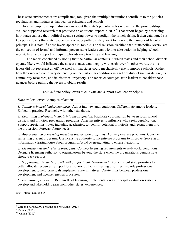These state environments are complicated, too, given that multiple institutions contribute to the policies, regulations, and initiatives that bear on principals and schools.<sup>8</sup>

In an attempt to sharpen discussions about the state's potential roles relevant to the principalship, Wallace supported research that produced an additional report in 2015.<sup>9</sup> That report began by describing how states can use their political agenda-setting power to spotlight the principalship. It then catalogued six key policy levers that state leaders can consider pulling if they want to increase the number of talented principals in a state.<sup>10</sup> Those levers appear in Table 2. The discussion clarified that "state policy levers" are the collection of formal and informal powers state leaders can wield to take action in helping schools recruit, hire, and support principals who advance teaching and learning.

The report concluded by noting that the particular contexts in which states and their school districts operate likely would influence the success states would enjoy with each lever. In other words, the six levers did not represent an off-the-shelf kit that states could mechanically use to improve schools. Rather, how they worked could vary depending on the particular conditions in a school district such as its size, its community resources, and its historical trajectory. The report encouraged state leaders to consider those nuances before pulling the levers to obtain results.

**Table 2.** State policy levers to cultivate and support excellent principals

*State Policy Lever:* Examples of actions.

*1. Setting principal leader standards:* Adopt into law and regulation. Differentiate among leaders. Embed in practice. Reconcile with other standards.

*2. Recruiting aspiring principals into the profession:* Facilitate coordination between local school districts and principal preparation programs. Alter incentives to influence who seeks certification. Support special institutes, including academies, to identify potential principals and recruit them into the profession. Forecast future needs.

*3. Approving and overseeing principal preparation programs:* Actively oversee programs. Consider sunsetting current programs. Use licensing authority to incentivize programs to improve. Serve as an information clearinghouse about programs. Avoid overregulating to ensure flexibility.

*4. Licensing new and veteran principals:* Connect licensing requirements to real-world conditions. Delegate licensing authority to organizations beyond the state when the organizations demonstrate strong track records.

*5. Supporting principals' growth with professional development:* Study current state priorities to better allocate resources. Support local school districts in setting priorities. Provide professional development to help principals implement state initiatives. Create links between professional development and license renewal processes.

*6. Evaluating principals:* Remain flexible during implementation as principal evaluation systems develop and take hold. Learn from other states' experiences.

Source: Manna (2015, pp. 8-10)

<sup>8</sup> Wirt and Kirst (2009); Manna and McGuinn (2013).

<sup>&</sup>lt;sup>9</sup> Manna (2015).

<sup>&</sup>lt;sup>10</sup> Manna (2015).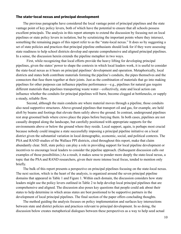#### **The state-local nexus and principal development**

The previous paragraphs have considered the local vantage point of principal pipelines and the state vantage point of key policy levers, both of which have the potential to ensure that all schools possess excellent principals. The analysis in this report attempts to extend the discussion by focusing not on local pipelines or state policy levers in isolation, but by scrutinizing the important points where they intersect, something the remaining pages of this report refer to as the "state-local nexus." It does so by suggesting a set of state policies and practices that principal pipeline enthusiasts should look for if they were assessing state readiness to help school districts develop and operate comprehensive and aligned principal pipelines. In a sense, the discussion herein extends the pipeline metaphor in two ways.

First, while recognizing that local efforts provide the heavy lifting for developing principal pipelines, given the states' power to shape the contexts in which local leaders work, it is useful to consider the state-local nexus as it bears on principal pipelines' development and operation. Metaphorically, local districts and states both contribute materials forming the pipeline's conduits, the pipes themselves and the connectors that fuse them together at their joints. Just as the combination of materials that go into making pipelines for other purposes can influence pipeline performance—e.g., pipelines for natural gas require different materials than pipelines transporting waste water—collectively, state and local action can influence whether the conduits for principal pipelines will burst, become clogged at bottlenecks, or supply a steady, reliable flow.

Second, although the main conduits are where material moves through a pipeline, those conduits also need supportive structures. Above-ground pipelines that transport oil and gas, for example, are held aloft by beams and footings that elevate them safely above the ground. In contrast, underground pipelines rest atop groomed beds where crews place the pipes before burying them. In both cases, pipelines are not casually dropped along the landscape, but carefully positioned with appropriate supports for the environments above or below the ground where they reside. Local support, again, is perhaps most crucial because nobody could imagine a state successfully imposing a principal pipeline initiative on a local district given the substantial variation in local demographic, economic, social, and political contexts. The PSA and RAND studies of the Wallace PPI districts, cited throughout this report, make that claim abundantly clear. Still, state policy can play a role in providing support for local pipeline development or incentives to encourage local leaders to consider the pipeline approach. (Subsequent discussion calls out examples of those possibilities.) As a result, it makes sense to ponder more deeply the state-local nexus, a topic that the PSA and RAND researchers, given their more intense local focus, tended to mention only briefly.

The bulk of this report presents a perspective on principal pipelines focusing on the state-local nexus. The next section, which is the heart of the analysis, is organized around the seven principal pipeline domains that appeared in Table 1 and Figure 1. Within each domain, the discussion considers how state leaders might use the policy levers outlined in Table 2 to help develop local principal pipelines that are comprehensive and aligned. The discussion also poses key questions that people could ask about their states to help determine in which areas states are best positioned to be supportive partners in the development of local principal pipelines. The final section of the paper offers concluding thoughts.

The method guiding the analysis focuses on policy implementation and surfaces key intersections between state and district policies and practices relevant to principal development. In so doing, the discussion below creates metaphorical dialogues between these perspectives as a way to help seed actual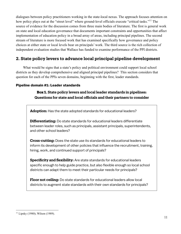dialogues between policy practitioners working in the state-local nexus. The approach focuses attention on how policy plays out at the "street level" where ground-level officials execute "critical tasks."<sup>11</sup> The source of evidence for the discussion comes from three main bodies of literature. The first is general work on state and local education governance that documents important constraints and opportunities that affect implementation of education policy in a broad array of areas, including principal pipelines. The second stream of literature is more focused work that has examined specifically how governance and policy choices at either state or local levels bear on principals' work. The third source is the rich collection of independent evaluation studies that Wallace has funded to examine performance of the PPI districts.

## **2. State policy levers to advance local principal pipeline development**

What would be signs that a state's policy and political environment could support local school districts as they develop comprehensive and aligned principal pipelines? This section considers that question for each of the PPIs seven domains, beginning with the first, leader standards.

#### **Pipeline domain #1: Leader standards**

#### **Box 1. State policy levers and local leader standards in pipelines: Questions for state and local officials and their partners to consider**

**Adoption:** Has the state adopted standards for educational leaders?

**Differentiating:** Do state standards for educational leaders differentiate between leader roles, such as principals, assistant principals, superintendents, and other school leaders?

**Cross-cutting:** Does the state use its standards for educational leaders to inform its development of other policies that influence the recruitment, training, hiring, work, and continued support of principals?

**Specificity and flexibility:** Are state standards for educational leaders specific enough to help guide practice, but also flexible enough so local school districts can adapt them to meet their particular needs for principals?

**Floor not ceiling:** Do state standards for educational leaders allow local districts to augment state standards with their own standards for principals?

 $11$  Lipsky (1980); Wilson (1989).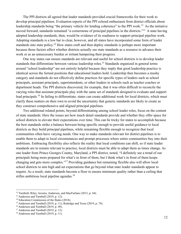The PPI districts all agreed that leader standards provided crucial frameworks for their work to develop principal pipelines. Evaluation reports of the PPI echoed enthusiasm from district officials about leadership standards being "the primary vehicle for lending coherence" to the PPI work.<sup>12</sup> As the initiative moved forward, standards remained "a cornerstone of principal pipelines in the districts."13 A state having adopted leadership standards, then, would be evidence of its readiness to support principal pipeline work. Adopting standards is a low bar to clear, however, and all states have incorporated some form of leader standards into state policy.<sup>14</sup> How states craft and then deploy standards is perhaps more important because those factors affect whether districts actually see state standards as a resource to advance their work or as an unnecessary burden or irritant hampering their progress.

One way states can ensure standards are relevant and useful for school districts is to develop leader standards that differentiate between various leadership roles.<sup>15</sup> Standards organized in general terms around "school leadership" are not entirely helpful because they imply that good leadership practice is identical across the formal positions that educational leaders hold. Leadership then becomes a mushy category and standards do not effectively define practices for specific types of leaders such as school principals, assistant principals, superintendents, or other leaders in schools such as teacher coaches or department heads. The PPI districts discovered, for example, that it was often difficult to reconcile the varying roles that assistant principals play with the same set of standards designed to evaluate and support lead principals.<sup>16</sup> In failing to differentiate, states can create additional work for local districts, which must clarify these matters on their own to avoid the uncertainty that generic standards are likely to create as they construct comprehensive and aligned principal pipelines.

Two additional related points, beyond differentiating among school leader roles, focus on the content of state standards. Here the issues are how much detail standards provide and whether they offer space for school districts to elevate their expectations over time. This can be tricky for states to accomplish because the best standards strike a balance between being specific enough to provide useful guidance to local districts as they build principal pipelines, while remaining flexible enough to recognize that local communities often have varying needs. One way to make standards relevant for district pipelines is to enable them to adapt to local circumstances and prompt processes where entire communities buy into their ambitions. Embracing flexibility also reflects the reality that local conditions can shift, so if state leader standards are to remain relevant to practice, local districts must be able to adapt them as times change. As one leader from Prince Georges County, Maryland, a PPI district, noted, "I definitely see a trend of our principals being more prepared for what's in front of them, but I think what's in front of them keeps changing and gets more complex."17 Providing guidance but remaining flexible also will allow local school districts to aim high and set expectations that go beyond what state leader standards appear to require. As a result, state standards become a floor to ensure minimum quality rather than a ceiling that stifles ambitious local pipeline agendas. $18$ 

<sup>&</sup>lt;sup>12</sup> Turnbull, Riley, Arcaira, Anderson, and MacFarlane (2013, p. 44).

<sup>&</sup>lt;sup>13</sup> Anderson and Turnbull (2019, p. 12).

<sup>&</sup>lt;sup>14</sup> Education Commission of the States (2018).

<sup>&</sup>lt;sup>15</sup> Anderson and Turnbull (2019, p. 11); Rutledge and Tozer (2019, p. 74).

<sup>&</sup>lt;sup>16</sup> Anderson and Turnbull (2019, p. 49).

 $17$  Anderson and Turnbull (2019, p. 12).

 $18$  Anderson and Turnbull (2019, p. 11).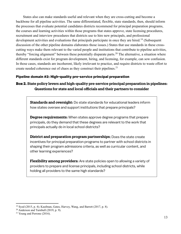States also can make standards useful and relevant when they are cross-cutting and become a backbone for all pipeline activities. The same differentiated, flexible, state standards, then, should inform the processes that evaluate potential candidates districts recommend for principal preparation programs, the courses and learning activities within those programs that states approve, state licensing procedures, recruitment and interview procedures that districts use to hire new principals, and professional development activities and evaluations that principals participate in once they are hired.<sup>19</sup> (Subsequent discussion of the other pipeline domains elaborates those issues.) States that use standards in these crosscutting ways make them relevant to the varied people and institutions that contribute to pipeline activities, thereby "forcing alignment" between these potentially disparate parts.<sup>20</sup> The alternative, a situation where different standards exist for program development, hiring, and licensing, for example, can sow confusion. In those cases, standards are incoherent, likely irrelevant to practice, and require districts to waste effort to create needed coherence out of chaos as they construct their pipelines.<sup>21</sup>

#### **Pipeline domain #2: High-quality pre-service principal preparation**

## **Box 2. State policy levers and high-quality pre-service principal preparation in pipelines: Questions for state and local officials and their partners to consider**

**Standards and oversight:** Do state standards for educational leaders inform how states oversee and support institutions that prepare principals?

**Degree requirements:** When states approve degree programs that prepare principals, do they demand that these degrees are relevant to the work that principals actually do in local school districts?

**District and preparation program partnerships**: Does the state create incentives for principal preparation programs to partner with school districts in shaping their program admissions criteria, as well as curricular content, and other learning experiences?

**Flexibility among providers:** Are state policies open to allowing a variety of providers to prepare and license principals, including school districts, while holding all providers to the same high standards?

<sup>&</sup>lt;sup>19</sup> Syed (2015, p. 4); Kaufman, Gates, Harvey, Wang, and Barrett (2017, p. 8).

 $20$  Anderson and Turnbull (2019, p. 9).

<sup>&</sup>lt;sup>21</sup> Young and Perrone  $(2016)$ .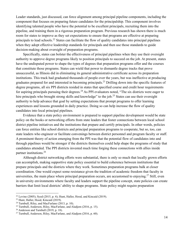Leader standards, just discussed, can force alignment among principal pipeline components, including the component that focuses on preparing future candidates for the principalship. This component involves identifying talented people who have the potential to be excellent principals, recruiting them into the pipeline, and training them in a rigorous preparation program. Previous research has shown there is much room for states to improve as they set expectations to ensure that programs are effective at preparing principals to lead schools.22 States can facilitate the flow of quality candidates into principal pipelines when they adopt effective leadership standards for principals and then use those standards to guide decision-making about oversight of preparation programs.

Specifically, states can bolster the effectiveness of principal pipelines when they use their oversight authority to approve degree programs likely to position principals to succeed on the job. At present, states have the undisputed power to shape the types of degrees that preparation programs offer and the courses that constitute those programs. States can wield that power to dismantle degree tracks that prove unsuccessful, as Illinois did in eliminating its general administrative certificate across its preparation institutions. This track had graduated thousands of people over the years, but was ineffective at producing graduates prepared for and interested in becoming principals.23 Drilling down into the specific features of degree programs, all six PPI districts resided in states that specified course and credit hour requirements for aspiring principals pursuing their degrees.<sup>24</sup> As PPI evaluators noted, "The six districts were eager to hire principals who brought strong skills and knowledge" to the job.<sup>25</sup> States can use their oversight authority to help advance that goal by setting expectations that prompt programs to offer learning experiences and lessons grounded in daily practice. Doing so can help increase the flow of quality candidates into local principal pipelines.

Evidence that a state policy environment is prepared to support pipeline development would be state policy on the books or networking efforts from state leaders that foster connections between local school district pipeline initiatives and the institutions that prepare and certify principals. In other words, policies can force entities like school districts and principal preparation programs to cooperate, but so, too, can state leaders who engineer or facilitate convenings between district personnel and program faculty or staff. A prominent theory of action emerging from the PPI was that the potential flow of candidates into and through pipelines would be stronger if the districts themselves could help shape the programs of study that candidates attended. The PPI districts invested much time forging these connections with allies inside partner institutions. 26

Although district networking efforts were substantial, there is only so much that locally grown efforts can accomplish, making supportive state policy essential to build coherence between institutions that prepare principals and the districts where they work. Sometimes preparation programs balk at closer coordination. One would expect some resistance given the tradition of academic freedom that faculty in universities, the main place where principal preparation occurs, are accustomed to enjoying.<sup>27</sup> Still, even in university environments where faculty and leaders support the pipeline concept, state policies can create barriers that limit local districts' ability to shape programs. State policy might require preparation

<sup>&</sup>lt;sup>22</sup> Levine (2005); Syed (2015, p. 4); Hunt, Haller, Hood, and Kincaid (2019).

<sup>23</sup> Hunt, Haller, Hood, Kincaid (2019).

 $24$  Turnbull, Riley, and MacFarlane (2013, p. 10).

<sup>25</sup> Turnbull, Anderson, Riley, MacFarlane, and Aladjem (2016, p. 15).

 $26$  Anderson and Turnbull (2019, p. 18).

<sup>&</sup>lt;sup>27</sup> Turnbull, Anderson, Riley, MacFarlane, and Aladjem (2016, p. 60).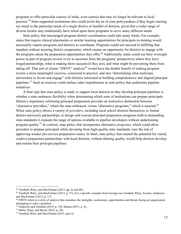programs to offer particular courses of study, even courses that may no longer be relevant to local practice.<sup>28</sup> State-supported institutions also could invite the ire of state policymakers if they begin catering too much to the particular needs of a single district or handful of districts, given that a wider range of diverse locales may traditionally have relied upon these programs to serve many different needs.

State policy that encouraged program-district coordination could take many forms. For example, states that require clinical placements or similar learning opportunities for principals in-training would necessarily require programs and districts to coordinate. Programs could not succeed in fulfilling that mandate without securing district cooperation, which creates an opportunity for districts to engage with the programs about the preparation opportunities they offer.<sup>29</sup> Additionally, states could use their oversight power as part of program review to try to ascertain from the programs' perspectives where they have forged partnerships, what is making them succeed (if they are), and what might be preventing them from taking off. That sort of classic "SWOT" analysis<sup>30</sup> would have the double benefit of making program review a more meaningful exercise, connected to practice, and also "determining what motivates universities to invest and engage" with districts interested in building comprehensive and aligned principal pipelines.<sup>31</sup> Such an exercise could surface other impediments in state policy that undermine pipeline initiatives.

A final sign that state policy is ready to support local districts as they develop principal pipelines is whether a state embraces flexibility when determining which sorts of institutions can prepare principals. Illinois's experience reforming principal preparation provides an instructive distinction between "alternative providers," which the state embraced, versus "alternative programs," which it rejected.<sup>32</sup> When state policy allows a variety of *providers*, including local school districts themselves or formal district-university partnerships, to design and execute principal preparation programs held to demanding state-standards it expands the range of options available to pipeline developers without undermining program quality. <sup>33</sup> In contrast, state policy that incorporates alternative *programs*, which could allow providers to prepare principals while deviating from high-quality state standards, runs the risk of approving weaker pre-service preparation routes. In short, state policy that created the potential for varied, creative preparation partnerships with local districts, without diluting quality, would help districts develop and sustain their principal pipelines.

<sup>28</sup> Turnbull, Riley, and MacFarlane (2013, pp. iii and 68).

 $^{29}$  Turnbull, Riley, and MacFarlane (2013, p. 57). For a specific example from Georgia see Turnbull, Riley, Arcaira, Anderson, and MacFarlane (2013, p. 17).

<sup>&</sup>lt;sup>30</sup> SWOT refers to a style of analysis that examines the strengths, weaknesses, opportunities and threats facing an organization attempting to solve a problem.

<sup>31</sup> Anderson and Turnbull (2019, p. 19); Manna (2015, p. 8).

 $32$  Haller, Hunt, and Baron (2019, p. 10).

<sup>&</sup>lt;sup>33</sup> Turnbull, Riley and MacFarlane (2015, part 4).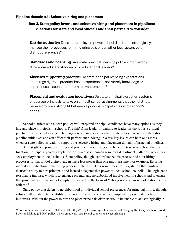#### **Pipeline domain #3: Selective hiring and placement**

**Box 3. State policy levers, and selective hiring and placement in pipelines: Questions for state and local officials and their partners to consider**

**District authority:** Does state policy empower school districts to strategically manage their processes for hiring principals or can other local actors veto district preferences?

**Standards and licensing:** Are state principal licensing policies informed by differentiated state standards for educational leaders?

**Licenses supporting practice:** Do state principal licensing expectations encourage rigorous practice-based experiences, not merely knowledge or experiences disconnected from relevant practice?

**Placement and evaluation incentives:** Do state principal evaluation systems encourage principals to take on difficult school assignments that their districts believe provide a strong fit between a principal's capabilities and a school's needs?

School districts with a deep pool of well-prepared principal candidates have many options as they hire and place principals in schools. The shift from leader-in-waiting to leader-on-the-job is a critical juncture in a principal's career. Here again is yet another area where state policy intersects with district pipeline initiatives and can affect their performance. Sizing up a few key issues can help one assess whether state policy is ready to support the selective hiring and placement domain of principal pipelines.

At first glance, principal hiring and placement would appear to be a quintessential school district function. Principals typically apply for jobs via district human resources departments, after all, when they seek employment in local schools. State policy, though, can influence this process and alter hiring processes so that school district leaders have less power than one might assume. For example, favoring more decentralization in the hiring process, state lawmakers sometimes craft legislation that limits a district's ability to hire principals and instead delegates that power to local school councils. The logic has a reasonable impulse, which is to enhance parental and neighborhood involvement in schools and to ensure that principal positions are not simply distributed on the basis of "who you know" in school district central offices.<sup>34</sup>

State policy that defers to neighborhood or individual school preferences for principal hiring, though, substantially undercuts the ability of school districts to construct and implement principal pipeline initiatives. Without the power to hire and place principals districts would be unable to act strategically in

<sup>&</sup>lt;sup>34</sup> For example, see Schlemmer (2019 and Wheatley (2019) for coverage of debates about changing Kentucky's School-Based Decision Making (SBDM) policy, which empowers local school councils to select principals.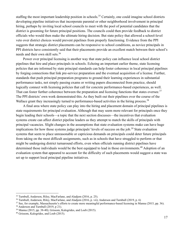staffing the most important leadership position in schools.<sup>35</sup> Certainly, one could imagine school districts developing pipeline initiatives that incorporate parental or other neighborhood involvement in principal hiring, perhaps by inviting local school councils to meet with the pool of potential candidates that the district is grooming for future principal positions. The councils could then provide feedback to district officials who would then make the ultimate hiring decision. But state policy that allowed a school-level veto over district choices would prevent pipelines from properly functioning. Evidence from the PPI suggests that strategic district placements can be responsive to school conditions, as novice principals in PPI districts have consistently said that their placements provide an excellent match between their school's needs and their own skill sets.<sup>36</sup>

Power over principal licensing is another way that state policy can influence local school district pipelines that hire and place principals in schools. Echoing an important earlier theme, state licensing policies that are informed by state principal standards can help foster coherence in local principal pipelines by forging connections that link pre-service preparation and the eventual acquisition of a license. Further, standards that push principal preparation programs to ground their learning experiences in substantial performance tasks, not simply passing exams or writing papers disconnected from practice, should logically connect with licensing policies that call for concrete performance-based experiences, as well. That can foster further coherence between the preparation and licensing functions that states oversee.<sup>37</sup> The PPI districts' own work demonstrated this. As they built out their pipelines over the course of the Wallace grant they increasingly turned to performance-based activities in the hiring process.<sup>38</sup>

A final area where state policy can play into the hiring and placement domain of principal pipelines is state requirements for principal evaluation. Although that may seem more relevant for principals once they begin leading their schools—a topic that the next section discusses—the incentives that evaluation systems create can affect district pipeline leaders as they attempt to match the skills of principals with principal vacancies. Slight changes in the assumptions that state evaluation systems make can have huge implications for how those systems judge principals' levels of success on the job. <sup>39</sup> State evaluation systems that seem to place unreasonable or capricious demands on principals could deter future principals from taking on the most difficult assignments, such as in schools that have struggled to perform or that might be undergoing district turnaround efforts, even when officials running district pipelines have determined those individuals would be the best equipped to lead in those environments.<sup>40</sup> Adoption of an evaluation system that appeared to account for the difficulty of such placements would suggest a state was set up to support local principal pipeline initiatives.

<sup>&</sup>lt;sup>35</sup> Turnbull, Anderson, Riley, MacFarlane, and Aladjem (2016, p. 25).<br><sup>36</sup> Turnbull, Anderson, Riley, MacFarlane, and Aladjem (2016, p. vii); Anderson and Turnbull (2019, p. 6)

<sup>&</sup>lt;sup>37</sup> See, for example, Massachusetts's efforts to create more meaningful performance-based licensing in Manna (2015, pp. 36).

<sup>&</sup>lt;sup>38</sup> Anderson and Turnbull (2019, p 21).

<sup>39</sup> Manna (2015, pp. 38-40); Grissom, Kalogrides, and Loeb (2015).

<sup>40</sup> Grissom, Kalogrides, and Loeb (2015).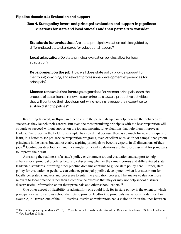#### **Pipeline domain #4: Evaluation and support**

### **Box 4. State policy levers and principal evaluation and support in pipelines: Questions for state and local officials and their partners to consider**

**Standards for evaluation:** Are state principal evaluation policies guided by differentiated state standards for educational leaders?

**Local adaptation:** Do state principal evaluation policies allow for local adaptation?

**Development on the job:** How well does state policy provide support for mentoring, coaching, and relevant professional development experiences for principals?

**License renewals that leverage expertise:** For veteran principals, does the process of state license renewal steer principals toward productive activities that will continue their development while helping leverage their expertise to sustain district pipelines?

Recruiting talented, well-prepared people into the principalship can help increase their chances of success as they launch their careers. But even the most promising principals with the best preparation will struggle to succeed without support on the job and meaningful evaluations that help them improve as leaders. One expert in the field, for example, has noted that because there is so much for new principals to learn, it is better to see pre-service preparation programs, even excellent ones, as "boot camps" that groom principals in the basics but cannot enable aspiring principals to become experts in all dimensions of their jobs.<sup>41</sup> Continuous development and meaningful principal evaluations are therefore essential for principals to improve their craft.

Assessing the readiness of a state's policy environment around evaluation and support to help enhance local principal pipelines begins by discerning whether the same rigorous and differentiated state leadership standards informing other pipeline domains continue to guide state policy here. Further, state policy for evaluation, especially, can enhance principal pipeline development when it creates room for locally generated standards and processes to enter the evaluation process. That makes evaluation more relevant to local practice rather than a compliance exercise that may or may not help school districts discern useful information about their principals and other school leaders.<sup>42</sup>

One other aspect of flexibility or adaptability one could look for in state policy is the extent to which principal evaluation allows school districts to provide feedback to principals via various modalities. For example, in Denver, one of the PPI districts, district administrators had a vision to "blur the lines between

<sup>41</sup> The quote, appearing in Manna (2015, p. 35) is from Jackie Wilson, director of the Delaware Academy of School Leadership.

 $42$  New Leaders  $(2012)$ .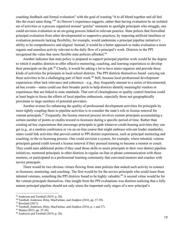coaching feedback and formal evaluation" with the goal of wanting "it to all blend together and all feel like the exact same thing.<sup>343</sup> As Denver's experience suggests, rather than having evaluation be an isolated set of activities or a process organized around "gotcha" moments to spotlight principals who struggle, one could envision evaluation as an on-going process linked to relevant practice. State polices that firewalled principal evaluation from other developmental or supportive practices, by imposing artificial timelines or evaluation protocols lacking flexibility, for example, would undermine a principal pipeline initiative's ability to be comprehensive and aligned. Instead, it would be a better approach to make evaluation a more organic and seamless activity relevant to the daily flow of a principal's work. Districts in the PPI recognized the value that more flexible state policies afforded.<sup>44</sup>

Another indicator that state policy is prepared to support principal pipeline work would be the degree to which it enables districts to offer effective mentoring, coaching, and learning experiences to develop their principals on the job.<sup>45</sup> Clearly, it would be asking a lot to have states organize and provide these kinds of activities for principals in local school districts. The PPI districts themselves found carrying out these activities to be a challenging part of their work.<sup>46</sup> Still, because local professional development experiences often lack relevance and coherence—e.g., they frequently amount to a series of disconnected, ad hoc events—states could use their broader perch to help districts identify meaningful vendors or experiences that are linked to state standards. That sort of clearinghouse or quality control function could at least begin to focus the efforts of local pipeline enthusiasts, especially those not geographically proximate to large numbers of potential providers.

Another avenue for enhancing the quality of professional development activities for principals by more tightly coupling them to pipeline activities is to consider the state's role in license renewal for veteran principals.<sup>47</sup> Frequently, the license renewal process involves current principals accumulating a certain number of points or credits toward re-licensure during a specific period of time. Rather than creating ad hoc expectations that encourage principals to grab whatever credit-bearing activities they can get (e.g., at a random conference or via an on-line course that might embrace relevant leader standards), states could link activities that proved central to PPI district experiences, such as principal mentoring and coaching, to the re-licensing process. One could envision a system, for example, where talented, veteran principals gained credit toward a license renewal if they pursued training to become a mentor or coach. They could earn additional points if they used those skills to assist principals in their own district pipeline initiatives, mentored principals in other districts in regular on-line or phone communication with those mentees, or participated in a professional learning community that convened mentors and coaches with novice principals.

There would be two obvious virtues flowing from state policies that stoked such activity to connect re-licensure, mentoring, and coaching. The first would be for the novice principals who could learn from talented veterans, something the PPI districts found to be highly valuable.<sup>48</sup> A second virtue would be for the veteran principals themselves. One insight from the PPI evaluations was districts realizing that a fully mature principal pipeline should not only stress the important early stages of a new principal's

<sup>43</sup> Anderson and Turnbull (2019, p. 28).

<sup>44</sup> Turnbull, Anderson, Riley, MacFarlane, and Aladjem (2016, pp. 37-39).

<sup>45</sup> Rowland (2017).

<sup>46</sup> Turnbull, Anderson, Riley, MacFarlane, and Aladjem (2016, p. v and 37).

<sup>47</sup> Manna (2015, pp. 33-36).

 $48$  Anderson and Turnbull (2019, p. 30).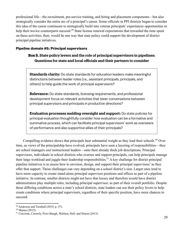professional life—the recruitment, pre-service training, and hiring and placement components—but also strategically consider the entire arc of a principal's career. Some officials in PPI districts began to consider this idea of the career continuum to strategically build into veteran principals' experiences opportunities to help their novice counterparts succeed.<sup>49</sup> State license renewal expectations that rewarded the time spent on these activities, then, would be one way that state policy could support the development of district principal pipeline initiatives.

#### **Pipeline domain #5: Principal supervisors**

#### **Box 5. State policy levers and the role of principal supervisors in pipelines: Questions for state and local officials and their partners to consider**

**Standards clarity:** Do state standards for education leaders make meaningful distinctions between leader roles (i.e., assistant principals, principals, and others) to help guide the work of principal supervisors?

**Relevance:** Do state standards, licensing requirements, and professional development focus on relevant activities that steer conversations between principal supervisors and principals in productive directions?

**Evaluation processes melding oversight and support:** Do state policies for principal evaluation thoughtfully consider how evaluation can be a formative and summative process, which can facilitate principal supervisors' work as overseers of performance and also supportive allies of their principals?

Compelling evidence shows that principals bear substantial weight as they lead their schools.<sup>50</sup> Over time, as views of the principalship have evolved, principals have seen a layering of responsibilities—they are school managers *and* instructional leaders—onto their already thick job descriptions. Principal supervisors, individuals in school districts who oversee and support principals, can help principals manage their large workload and juggle their leadership responsibilities.<sup>51</sup> A key challenge for district principal pipeline initiatives is to assess how to envision, design, and support their principal supervisors' as they offer that support. Those challenges can vary depending on a school district's size. Larger ones tend to have more capacity to create stand-alone principal supervisor positions and offices as part of a pipeline initiative. In contrast, smaller districts might not have that luxury and therefore would have district administrators play multiple roles, including principal supervisor, as part of their overall portfolio. Despite these differing conditions across a state's school districts, state leaders can use their policy levers to help create conditions where principal supervisors, regardless of their specific position, have more chances to succeed.

 $49$  Anderson and Turnbull (2019, p. 37).

<sup>50</sup> Manna (2015).

<sup>&</sup>lt;sup>51</sup> Corcoran, Casserly, Price-Baugh, Walston, Hall, and Simon (2013).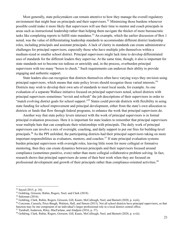Most generally, state policymakers can remain attentive to how they manage the overall regulatory environment that might bear on principals and their supervisors.<sup>52</sup> Minimizing those burdens whenever possible could make it more likely that supervisors will use their time to mentor and coach principals in areas such as instructional leadership rather than helping them navigate the thicket of more bureaucratic tasks like completing reports to fulfill state mandates.<sup>53</sup> An example, which the earlier discussion of Box 1 noted, was the value of differentiating leadership standards to accommodate different district leadership roles, including principals and assistant principals. A lack of clarity in standards can create administrative challenges for principal supervisors, especially those who have multiple jobs themselves within a medium-sized or smaller school district. Principal supervisors might lack time to develop differentiated uses of standards for the different leaders they supervise. At the same time, though, it also is important for state standards not to become too tedious or unwieldy and, in the process, overburden principal supervisors with too many "boxes to check." Such requirements can undercut their ability to provide engaging and authentic support.

State leaders also can recognize that districts themselves often have varying ways they envision using principal supervisors, which means that state policy levers should recognize those varied interests.<sup>54</sup> Districts may wish to develop their own sets of standards to meet local needs, for example. As one evaluation of a separate Wallace initiative focused on principal supervisors noted, school districts with principal supervisors sometimes "revisit and refresh" the job descriptions of their supervisors in order to "match evolving district goals for school support."<sup>55</sup> States could provide districts with flexibility in using state funding for school improvement and principal development, either from the state's own allocation to districts or funds that flow through federal programs, to enhance the work that principal supervisors do.

Another way that state policy levers intersect with the work of principal supervisors is in formal principal evaluation processes. Here it is important for state leaders to remember that principal supervisors wear multiple hats that can complicate their relationships with principals. The daily work of principal supervisors can involve a mix of oversight, coaching, and daily support to put out fires for building-level principals.56 As the PPI unfolded, the participating districts had their principal supervisors taking on more important responsibilities as evaluators, mentors, and coaches. <sup>57</sup> If state principal evaluation systems burden principal supervisors with oversight roles, leaving little room for more collegial or formative mentoring, then they can create dynamics between principals and their supervisors focused around compliance (sometimes punitive, even) rather than more collegial collaborative problem solving. In fact, research shows that principal supervisors do some of their best work when they are focused on professional development and growth of their principals rather than compliance-oriented activities.<sup>58</sup>

<sup>52</sup> Sayed (2015, p. 10).

<sup>&</sup>lt;sup>53</sup> Goldring, Grissom, Rubin, Rogers, Neel, and Clark (2018).

<sup>54</sup> Saltzman (2016).

<sup>55</sup> Goldring, Clark, Rubin, Rogers, Grissom, Gill, Kautz, McCullough, Neel, and Burnett (2020, p. xxiii).

<sup>56</sup> Corcoran, Casserly, Price-Baugh, Walston, Hall, and Simon (2013). Not all school districts have principal supervisors, so that function may be one component of an individual's larger professional role in a local district central office.

<sup>57</sup> Turnbull, Anderson, Riley, MacFarlane, and Aladjem (2016, p. 37).

<sup>58</sup> Goldring, Clark, Rubin, Rogers, Grissom, Gill, Kautz, McCullough, Neel, and Burnett (2020, p. xviii).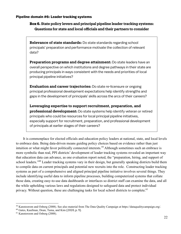#### **Pipeline domain #6: Leader tracking systems**

## **Box 6. State policy levers and principal pipeline leader tracking systems: Questions for state and local officials and their partners to consider**

**Relevance of state standards:** Do state standards regarding school principals' preparation and performance motivate the collection of relevant data?

**Preparation programs and degree attainment:** Do state leaders have an overall perspective on which institutions and degree pathways in their state are producing principals in ways consistent with the needs and priorities of local principal pipeline initiatives?

**Evaluation and career trajectories:** Do state re-licensure or ongoing principal professional development expectations help identify strengths and gaps in the development of principals' skills across the arcs of their careers?

**Leveraging expertise to support recruitment, preparation, and professional development:** Do state systems help identify veteran or retired principals who could be resources for local principal pipeline initiatives, especially support for recruitment, preparation, and professional development of principals at earlier stages of their careers?

It is commonplace for elected officials and education policy leaders at national, state, and local levels to embrace data. Being data-driven means guiding policy choices based on evidence rather than just intuition or what might favor politically connected interests.<sup>59</sup> Although sometimes such an embrace is more symbolic than real, PPI districts' development of leader tracking systems revealed an important way that education data can advance, as one evaluation report noted, the "preparation, hiring, and support of school leaders."<sup>60</sup> Leader tracking systems vary in their design, but generally speaking districts build them to compile data on current principals and potential new recruits into the role. Constructing leader tracking systems as part of a comprehensive and aligned principal pipeline initiative involves several things. They include identifying useful data to inform pipeline processes, building computerized systems that collate those data, creating easy-to-use data dashboards or interfaces so district staff can examine the data, and all the while upholding various laws and regulations designed to safeguard data and protect individual privacy. Without question, these are challenging tasks for local school districts to complete.<sup>61</sup>

<sup>59</sup> Kanstoorom and Osberg (2008). See also material from The Data Quality Campaign at https://dataqualitycampaign.org/.

 $60$  Gates, Kaufman, Doan, Tuma, and Kim (2020, p. 9).<br> $61$  Kanstoroom and Osberg (2008).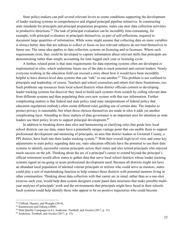State policy-makers can pull several relevant levers to create conditions supporting the development of leader tracking systems in comprehensive and aligned principal pipeline initiatives. In constructing state standards for principals and principal preparation programs, states can steer data collection activities in productive directions.<sup>62</sup> The task of principal evaluation can be incredibly time-consuming, for example, with principal evaluators or principals themselves, as part of self-reflections, required to document large quantities of information. While some might assume that collecting data on more variables is always better, data that are tedious to collect or focus on less relevant subjects do not lend themselves to future use. The same idea applies to data collection systems on licensing and re-licensure. Where such requirements exist, they could be developed to capture information about relevant skills that principals are demonstrating rather than simply accounting for time logged each year or licensing cycle.

A further, related point is that state requirements for data reporting systems often are developed or implemented in silos, which undermine future use of the data to track potential and current leaders. Nearly everyone working in the education field can recount a story about how it would have been incredibly helpful to have district-level data systems that can "talk" to one another.<sup>63</sup> This problem is not confined to principals and leadership, of course. Teachers and school counselors and others feel these frustrations, too. Such problems sap resources from local school districts when district officials commit to developing leader tracking systems but discover they need to build such systems from scratch by culling relevant data from different systems and then populating their own new system with that raw information. Further complicating matters is that federal and state policy (and state interpretations of federal policy that education regulations embody) often create different rules guiding use of certain data. The impulse to protect privacy is reasonable, but when those choices themselves are made in silos it adds yet another complicating layer. Attending to these matters of data governance is an important area for attention as state leaders use their policy levers to support principal development.<sup>64</sup>

In addition to breaking down data silos and harmonizing or clarifying rules that guide how local school districts can use data, states have a potentially unique vantage point that can enable them to support professional development and mentoring of principals, an area that district leaders in Gwinnett County, a PPI district, have built into their leader tracking system.<sup>65</sup> With their overall high-level view and some key adjustments to state policy regarding data use, state education officials have the potential to use their data systems to identify successful veteran principals across their states and also retired principals who enjoyed much success on the job. Thinking about the arc of a principal's career to extend beyond the principal's official retirement would allow states to gather data that serve local school districts whose leader tracking systems signal an on-going or acute professional development need. Because all districts might not have an abundant local population of talented veteran principals or retirees who could serve as mentors, states could play a sort of matchmaking function to help connect those districts with potential mentors living in other communities. Thinking about data collection with that career arc in mind, rather than as a one-shot exercise each year, would help data system designers create panel data structures that make possible multiyear analyses of principals' work and the environments that principals might have faced in their schools. Such systems could help identify those who appear to be on positive trajectories who could become

<sup>62</sup> Clifford, Hansen, and Wraight (2014).

<sup>63</sup> Kanstoroom and Osberg (2008).

<sup>64</sup> Data Quality Campaign (n.d.); Anderson, Turnbull, and Arcaira (2017, p. 31).

<sup>65</sup> Anderson, Turnbull, and Arcaira (2017, p. 15).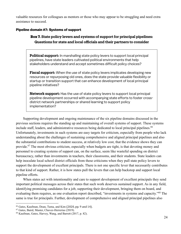valuable resources for colleagues as mentors or those who may appear to be struggling and need extra assistance to succeed.

#### **Pipeline domain #7: Systems of support**

#### **Box 7. State policy levers and systems of support for principal pipelines: Questions for state and local officials and their partners to consider**

**Political support:** In marshalling state policy levers to support local principal pipelines, have state leaders cultivated political environments that help stakeholders understand and accept sometimes difficult policy choices?

**Fiscal support:** When the use of state policy levers implicates developing new resources or repurposing old ones, does the state provide valuable flexibility or startup or transition support that can enhance development of local principal pipeline initiatives?

**Network support:** Has the use of state policy levers to support local principal pipeline development occurred with accompanying state efforts to foster crossdistrict network partnerships or shared learning to support policy implementation?

Supporting development and ongoing maintenance of the six pipeline domains discussed in the previous sections requires the standing up and maintaining of overall systems of support. These systems include staff, leaders, and administrative resources being dedicated to local principal pipelines.<sup>66</sup> Unfortunately, investments in such systems are easy targets for criticism, especially from people who lack understanding about the challenges of sustaining comprehensive and aligned principal pipelines and also the substantial contributions to student success, at relatively low cost, that the evidence shows they can provide.<sup>67</sup> The most obvious criticism, especially when budgets are tight, is that devoting money and personnel to creating systems of support can, on the surface, seem like wasteful spending on district bureaucracy, rather than investments in teachers, their classrooms, and their students. State leaders can help inoculate local school district officials from these criticisms when they pull state policy levers to support the development of excellent principals. There is not one specific lever that necessarily contributes to that kind of support. Rather, it is how states pull the levers that can help backstop and support local pipeline efforts.

When states act with intentionality and care to support development of excellent principals they send important political messages across their states that such work deserves sustained support. As in any field, identifying promising candidates for a job, supporting their development, bringing them on board, and evaluating them requires, as one evaluation report described, "investments in systems and capacity."68 The same is true for principals. Further, development of comprehensive and aligned principal pipelines also

<sup>&</sup>lt;sup>66</sup> Gates, Kaufman, Doan, Tuma, and Kim (2020, pp. 9 and 14).<br><sup>67</sup> Gates, Baird, Master, Chavez-Herrerias (2019).

<sup>68</sup> Kaufman, Gates, Harvey, Wang, and Barrett (2017, p. 82).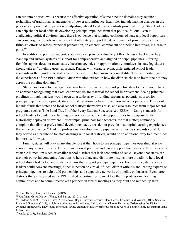can run into political walls because the effective operation of some pipeline domains may require a reshuffling of traditional arrangements of power and influence. Examples include making changes in the processes of principal preparation or adjusting who at local levels controls principal hiring. State leaders can help shelter local officials developing principal pipelines from that political fallout. Even in challenging political environments, there is evidence that winning coalitions of state and local supporters can come together to advance reforms that ultimately support the development of principal pipelines. Illinois's efforts to reform principal preparation, an essential component of pipeline initiatives, is a case in point.<sup>69</sup>

In addition to political support, states also can provide valuable yet flexible fiscal backing to help stand up and sustain systems of support for comprehensive and aligned principal pipelines. Offering flexible support does not mean state education agencies or appropriations committees in state legislatures should take an "anything goes" approach. Rather, with clear, relevant, differentiated school leader standards as their guide star, states can offer flexibility but ensure accountability. This is important given the experiences of the PPI districts. Much variation existed in how the districts chose to invest their money across the pipeline domains.<sup>70</sup>

States positioned to leverage their own fiscal resources to support pipeline development would have an approach recognizing that excellent principals are essential for school improvement. Seeing principal pipelines through that lens would open up a wide array of funding streams as potential sources for principal pipeline development, streams that traditionally have flowed toward other purposes. This would include funds that states and local school districts themselves raise, and also resources from major federal programs, such as Title I and Title II of the Every Student Succeeds Act (ESSA).<sup>71</sup> Using standards for school leaders to guide state funding decisions also could create opportunities to repurpose funds historically deployed elsewhere. For example, principals (and teachers, for that matter) commonly complain that district professional development activities do not provide meaningful learning experiences that enhance practice.<sup>72</sup> Linking professional development to pipeline activities, as standards could do if they served as a backbone for state dealings with local districts, would be an additional way to direct funds in more useful ways.

Finally, states will play an invaluable role if they hope to see principal pipelines operating at scale across many school districts. The aforementioned political and fiscal support from states will be especially valuable in medium-sized or smaller school districts that lack economies of scale. Beyond that states can use their powerful convening functions to help collate and distribute insights more broadly to help local school districts develop and sustain systems that support principal pipelines. For example, state agency leaders could convene meetings, either in person or virtual, of local district officials and leading experts on principal pipelines to help build partnerships and supportive networks of pipeline enthusiasts. Even large districts that participated in the PPI relished opportunities to meet together in professional learning communities and to communicate with partners in virtual meetings as they built and ramped up their

<sup>69</sup> Hunt, Haller, Hood, and Kincaid (2019).

<sup>70</sup> Kaufman, Gates, Harvey, Wang, and Barrett (2017, p. xx).

<sup>71</sup> Rowland (2017); Herman, Gates, Arifkhanova, Bega, Chavez-Herrerias, Han, Harris, Leschitz, and Wrabel (2017). See also Price and Goodson (2019), which rated the results from Gates, Baird, Master, Chavez-Herrerias (2019) using the ESSA evidence framework. They found the results strong enough to qualify principal pipeline work as being eligible for support using ESSA funds.

<sup>72</sup> Mader (2015); Rowland (2017).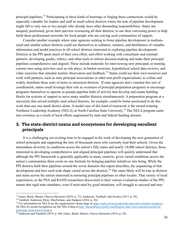principal pipelines.<sup>73</sup> Participating in these kinds of meetings or forging these connections would be especially valuable for leaders and staff in small school districts where the task of pipeline development might fall to only one or two people who already have other demanding responsibilities. States are uniquely positioned, given their purview overseeing all their districts, to use their convening power to help build these professional networks for local people who are craving such communities of support.

Consider another example where state agencies seeking to foster pipeline development in mediumsized and smaller school districts could see themselves as collators, curators, and distributors of valuable information and model practices to all school districts interested in exploring pipeline development. Districts in the PPI spent much of their own effort, and effort working with consultants and external partners, developing guides, rubrics, and other tools to inform decision-making and make their principal pipelines comprehensive and aligned. These include materials for interviewing new principals or training current ones using activities such as role plays, in-basket exercises, hypothetical school data reviews, and video exercises that simulate teacher observation and feedback.<sup>74</sup> States could use their own resources and work with partners, such as state principal associations or other non-profit organizations, to collate and widely distribute these sorts of items to interested districts. If state agencies don't marshal this sort of coordination, states could leverage their role as overseers of principal preparation programs to encourage programs themselves to operate as pseudo-pipeline hubs of activity that develop and curate building blocks for systems of support to serve many smaller districts simultaneously. A preparation program at a university that served multiple rural school districts, for example, could be better positioned to do this work than any one small district alone. A model case of this kind of teamwork is the award-winning Northeast Leadership Academy (NELA) at North Carolina State University.<sup>75</sup> The NELA program came into existence as a result of local efforts augmented by state and federal funding streams.

## **3. The state-district nexus and ecosystems for developing excellent principals**

It is a challenging yet exciting time to be engaged in the work of developing the next generation of school principals and supporting the tens of thousands more who currently lead their schools. Given the tremendous diversity in conditions across the nation's fifty states and nearly 14,000 school districts, those interested in developing comprehensive and aligned principal pipelines will quickly understand that although the PPI framework is generally applicable in many contexts, given varied conditions across the nation's communities there exists no one formula for bringing pipeline initiatives into being. While the PPI districts built their pipelines around the seven domains this report describes, the sequencing of that development and how each took shape varied across the districts.<sup>76</sup> The same likely will be true in districts and states across the nation interested in nurturing principal pipelines in other locales. That variety of local experiences, as the PSA and RAND researchers discovered in their various evaluation studies of the PPI, means that rigid state mandates, even if motivated by good intentions, will struggle to succeed and may

<sup>73</sup> Gates, Baird, Master, Chavez-Herrerias (2019, p. 73); Anderson, Turnbull, and Arcaira (2017, p. 24).

<sup>74</sup> Turnbull, Anderson, Riley, MacFarlane, and Aladjem (2016, p. 28).

<sup>75</sup> For information on NELA see the organization's home page at https://nela.ced.ncsu.edu/nela-innovative-leaders-academy/. On NELA's award recognition see the NELA blog at http://thenelablog.weebly.com/blog/nc-state-wins-national-award-forpreparing-rural-school-leaders.

 $76$  Anderson and Turnbull (2019, p. 44); Gates, Baird, Master, Chavez-Herrerias (2019, p. 29).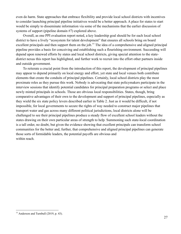even do harm. State approaches that embrace flexibility and provide local school districts with incentives to consider launching principal pipeline initiatives would be a better approach. A place for states to start would be simply to disseminate information via some of the mechanisms that the earlier discussion of systems of support (pipeline domain #7) explored above.

Overall, as one PPI evaluation report noted, a key leadership goal should be for each local school district to have a lively "ecosystem for talent development" that ensures all schools bring on board excellent principals and then support them on the job.<sup>77</sup> The idea of a comprehensive and aligned principal pipeline provides a basis for conceiving and establishing such a flourishing environment. Succeeding will depend upon renewed efforts by states and local school districts, giving special attention to the statedistrict nexus this report has highlighted, and further work to recruit into the effort other partners inside and outside government.

To reiterate a crucial point from the introduction of this report, the development of principal pipelines may appear to depend primarily on local energy and effort, yet state and local venues both contribute elements that create the conduits of principal pipelines. Certainly, local school districts play the most proximate roles as they pursue this work. Nobody is advocating that state policymakers participate in the interview sessions that identify potential candidates for principal preparation programs or select and place newly minted principals in schools. Those are obvious local responsibilities. States, though, bring comparative advantages of their own to the development and support of principal pipelines, especially as they wield the six state policy levers described earlier in Table 2. Just as it would be difficult, if not impossible, for local governments to secure the rights of way needed to construct major pipelines that transport water and gas across many different political jurisdictions, local districts alone will be challenged to see their principal pipelines produce a steady flow of excellent school leaders without the states drawing on their own particular areas of strength to help. Summoning such state-local coordination is a tall order, no doubt, but given the evidence showing that excellent principals can transform school communities for the better and, further, that comprehensive and aligned principal pipelines can generate those sorts of formidable leaders, the potential payoffs are obvious and within reach.

 $77$  Anderson and Turnbull (2019, p. 43).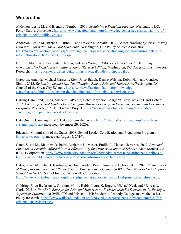## **Works cited**

Anderson, Leslie M. and Brenda J. Turnbull. 2019. *Sustaining a Principal Pipeline.* Washington, DC: Policy Studies Associates. https://www.wallacefoundation.org/knowledge-center/pages/sustainability-ofprincipal-pipeline-initiative.aspx.

Anderson, Leslie M., Brenda J. Turnbull, and Erikson R. Arcaira. 2017. *Leader Tracking Systems: Turning Data into Information for School Leadership.* Washington, DC: Policy Studies Associates. https://www.wallacefoundation.org/knowledge-center/pages/leader-tracking-systems-turning-data-intoinformation-for-school-leadership.aspx.

Clifford, Matthew, Ulcca Joshni Hansen, and Sara Wraight. 2014. *Practical Guide to Designing Comprehensive Principal Evaluation Systems (Revised Edition).* Washington, DC: American Institutes for Research. https://gtlcenter.org/sites/default/files/PracticalGuidePrincipalEval.pdf.

Corcoran, Amanda, Michael Casserly, Ricki Price-Baugh, Denise Walston, Robin Hall, and Candace Simon. 2013. *Rethinking Leadership: The Changing Role of Principal Supervisors.* Washington, DC: Council of the Great City Schools. https://www.wallacefoundation.org/knowledgecenter/pages/rethinking-leadership-the-changing-role-of-principal-supervisors.aspx.

Darling-Hammond, Linda, Michelle LaPointe, Debra Meyerson, Margaret Terry Orr, and Carol Cohen. 2007. *Preparing School Leaders for a Changing World: Lessons from Exemplary Leadership Development Programs.* Palo Alto, CA: The Finance Project. https://www.wallacefoundation.org/knowledgecenter/pages/preparing-school-leaders.aspx.

Data Quality Campaign (n.d.). Data Systems that Work. https://dataqualitycampaign.org/topic/datasystems-that-work/ (accessed November 29, 2020).

Education Commission of the States. 2018. School Leader Certification and Preparation Programs. https://www.ecs.org/ (accessed August 2, 2019).

Gates, Susan M., Matthew D. Baird, Benjamin K. Master, Emilio R. Chavez-Herrerias. 2019. *Principal Pipelines: A Feasible, Affordable, and Effective Way for Districts to Improve Schools.* Santa Monica, CA: RAND Corporation. https://www.wallacefoundation.org/knowledge-center/pages/principal-pipelines-afeasible,-affordable,-and-effective-way-for-districts-to-improve-schools.aspx.

Gates, Susan M., Julia H. Kaufman, Sy Doan, Andrea Prado Tuma, and Deborah Kim. 2020. *Taking Stock of Principal Pipelines: What Public School Districts Report Doing and What They Want to Do to Improve School Leadership*. Santa Monica, CA: RAND Corporation. https://www.wallacefoundation.org/knowledge-center/pages/taking-stock-of-principal-pipelines.aspx.

Goldring, Ellen B., Jason A. Grissom, Mollie Rubin, Laura K. Rogers, Michael Neel, and Melissa A. Clark. 2018. *A New Role Emerges for Principal Supervisors: Evidence from Six Districts in the Principal Supervisor Initiative.* Nashville, TN and Princeton, NJ: Vanderbilt Peabody College and Mathematica Policy Research. https://www.wallacefoundation.org/knowledge-center/pages/a-new-role-emerges-forprincipal-supervisors.aspx.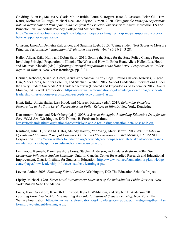Goldring, Ellen B., Melissa A. Clark, Mollie Rubin, Laura K. Rogers, Jason A. Grissom, Brian Gill, Tim Kautz, Moira McCullough, Michael Neel, and Alyson Burnett. 2020. *Changing the Principal Supervisor Role to Better Support Principals: Evidence from the Principal Supervisor Initiative*. Nashville, TN and Princeton, NJ: Vanderbilt Peabody College and Mathematica.

https://www.wallacefoundation.org/knowledge-center/pages/changing-the-principal-supervisor-role-tobetter-support-principals.aspx.

Grissom, Jason A., Demetra Kalogrides, and Susanna Loeb. 2015. "Using Student Test Scores to Measure Principal Performance." *Educational Evaluation and Policy Analysis* 37(1): 3-28.

Haller, Alicia, Erika Hunt, and Debra Baron 2019. Setting the Stage for the State Policy Change Process Involving Principal Preparation in Illinois: The What and How. In Erika Hunt, Alicia Haller, Lisa Hood, and Maureen Kincaid (eds.) *Reforming Principal Preparation at the State Level: Perspectives on Policy Reform in Illinois*. New York: Routledge. pp. 3-27.

Herman, Rebecca, Susan M. Gates, Aziza Arifkhanova, Andriy Bega, Emilio Chavez-Herrerias, Eugene Han, Mark Harris, Jennifer Leschitz, and Stephani Wrabel. 2017. School Leadership Interventions Under the Every Student Succeeds Act: Evidence Review (Updated and Expanded as of December 2017), Santa Monica, CA: RAND Corporation. https://www.wallacefoundation.org/knowledge-center/pages/schoolleadership-interventions-every-student-succeeds-act-volume-1.aspx.

Hunt, Erika, Alicia Haller, Lisa Hood, and Maureen Kincaid (eds.). 2019. *Reforming Principal Preparation at the State Level: Perspectives on Policy Reform in Illinois*. New York: Routledge.

Kanstoroom, Marci and Eric Osberg (eds.). 2008. *A Byte at the Apple: Rethinking Education Data for the Post-NCLB Era.* Washington, DC: Thomas B. Fordham Institute. https://fordhaminstitute.org/national/research/byte-apple-rethinking-education-data-post-nclb-era.

Kaufman, Julia H., Susan M. Gates, Melody Harvey, Yan Wang, Mark Barrett. 2017. *What It Takes to Operate and Maintain Principal Pipelines: Costs and Other Resources.* Santa Monica, CA: RAND Corporation. https://www.wallacefoundation.org/knowledge-center/pages/what-it-takes-to-operate-andmaintain-principal-pipelines-costs-and-other-resources.aspx.

Leithwood, Kenneth, Karen Seashore Louis, Stephen Anderson, and Kyla Wahlstrom. 2004. *How Leadership Influences Student Learning.* Ontario, Canada: Center for Applied Research and Educational Improvement, Ontario Institute for Studies in Education. https://www.wallacefoundation.org/knowledgecenter/pages/how-leadership-influences-student-learning.aspx.

Levine, Arthur. 2005. *Educating School Leaders.* Washington, DC: The Education Schools Project.

Lipsky, Michael. 1980. *Street-Level Bureaucracy: Dilemmas of the Individual in Public Services.* New York: Russell Sage Foundation.

Louis, Karen Seashore, Kenneth Leithwood, Kyla L. Wahlstrom, and Stephen E. Anderson. 2010. *Learning From Leadership: Investigating the Links to Improved Student Learning.* New York: The Wallace Foundation. https://www.wallacefoundation.org/knowledge-center/pages/investigating-the-linksto-improved-student-learning.aspx.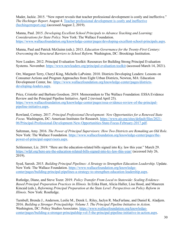Mader, Jackie. 2015. "New report reveals that teacher professional development is costly and ineffective." *The Hechinger Report*. August 4. Teacher professional development is costly and ineffective (hechingerreport.org) (accessed August 2, 2019).

Manna, Paul. 2015. *Developing Excellent School Principals to Advance Teaching and Learning: Considerations for State Policy.* New York: The Wallace Foundation. https://www.wallacefoundation.org/knowledge-center/pages/developing-excellent-school-principals.aspx.

Manna, Paul and Patrick McGuinn (eds.). 2013. *Education Governance for the Twenty-First Century: Overcoming the Structural Barriers to School Reform.* Washington, DC: Brookings Institution.

New Leaders. 2012. Principal Evaluation Toolkit: Resources for Building Strong Principal Evaluation Systems. November. https://www.newleaders.org/principal-evaluation-toolkit (accessed March 14, 2021).

Orr, Margaret Terry, Cheryl King, Michelle LaPointe. 2010. Districts Developing Leaders: Lessons on Consumer Actions and Program Approaches from Eight Urban Districts, Newton, MA: Education Development Center, Inc. https://www.wallacefoundation.org/knowledge-center/pages/districtsdeveloping-leaders.aspx.

Price, Cristofer and Barbara Goodson. 2019. Memorandum to The Wallace Foundation: ESSA Evidence Review and the Principal Pipeline Initiative. April 2 (revised April 25). https://www.wallacefoundation.org/knowledge-center/pages/essa-evidence-review-of-the-principalpipeline-initiative.aspx.

Rowland, Cortney. 2017. *Principal Professional Development: New Opportunities for a Renewed State Focus.* Washington, DC: American Institutes for Research. https://www.air.org/sites/default/files/2021- 06/Principal-Professional-Development-New-Opportunities-State-Focus-February-2017.pdf.

Saltzman, Amy. 2016. *The Power of Principal Supervisors: How Two Districts are Remaking an Old Role.*  New York: The Wallace Foundation. https://www.wallacefoundation.org/knowledge-center/pages/thepower-of-principal-supervisors.aspx.

Schlemmer, Liz. 2019. "Here are the education-related bills signed into Ky. law this year." March 29. https://wfpl.org/here-are-the-education-related-bills-signed-into-ky-law-this-year/ (accessed July 26, 2019).

Syed, Sarosh. 2015. *Building Principal Pipelines: A Strategy to Strengthen Education Leadership.* Update. New York: The Wallace Foundation. https://www.wallacefoundation.org/knowledgecenter/pages/building-principal-pipelines-a-strategy-to-strengthen-education-leadership.aspx.

Rutledge, Diane, and Steve Tozer. 2019. *Policy Transfer From Local to Statewide: Scaling Evidence-Based Principal Preparation Practices in Illinois.* In Erika Hunt, Alicia Haller, Lisa Hood, and Maureen Kincaid (eds.), *Reforming Principal Preparation at the State Level: Perspectives on Policy Reform in Illinois*. New York: Routledge.

Turnbull, Brenda J., Anderson, Leslie M., Derek L. Riley, Jaclyn R. MacFarlane, and Daniel K. Aladjem. 2016. *Building a Stronger Principalship: Volume 5. The Principal Pipeline Initiative in Action.* Washington, DC: Policy Studies Associates. https://www.wallacefoundation.org/knowledgecenter/pages/building-a-stronger-principalship-vol-5-the-principal-pipeline-initiative-in-action.aspx.